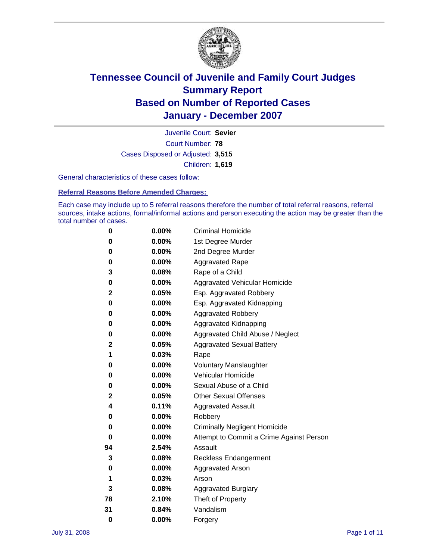

Court Number: **78** Juvenile Court: **Sevier** Cases Disposed or Adjusted: **3,515** Children: **1,619**

General characteristics of these cases follow:

**Referral Reasons Before Amended Charges:** 

Each case may include up to 5 referral reasons therefore the number of total referral reasons, referral sources, intake actions, formal/informal actions and person executing the action may be greater than the total number of cases.

| 0            | 0.00%    | <b>Criminal Homicide</b>                 |
|--------------|----------|------------------------------------------|
| 0            | 0.00%    | 1st Degree Murder                        |
| 0            | $0.00\%$ | 2nd Degree Murder                        |
| 0            | 0.00%    | <b>Aggravated Rape</b>                   |
| 3            | 0.08%    | Rape of a Child                          |
| 0            | 0.00%    | Aggravated Vehicular Homicide            |
| $\mathbf{2}$ | 0.05%    | Esp. Aggravated Robbery                  |
| 0            | 0.00%    | Esp. Aggravated Kidnapping               |
| 0            | 0.00%    | <b>Aggravated Robbery</b>                |
| 0            | $0.00\%$ | Aggravated Kidnapping                    |
| 0            | 0.00%    | Aggravated Child Abuse / Neglect         |
| 2            | 0.05%    | <b>Aggravated Sexual Battery</b>         |
| 1            | 0.03%    | Rape                                     |
| 0            | 0.00%    | <b>Voluntary Manslaughter</b>            |
| 0            | 0.00%    | Vehicular Homicide                       |
| 0            | 0.00%    | Sexual Abuse of a Child                  |
| 2            | 0.05%    | <b>Other Sexual Offenses</b>             |
| 4            | 0.11%    | <b>Aggravated Assault</b>                |
| 0            | $0.00\%$ | Robbery                                  |
| 0            | 0.00%    | <b>Criminally Negligent Homicide</b>     |
| 0            | 0.00%    | Attempt to Commit a Crime Against Person |
| 94           | 2.54%    | Assault                                  |
| 3            | 0.08%    | <b>Reckless Endangerment</b>             |
| 0            | 0.00%    | <b>Aggravated Arson</b>                  |
| 1            | 0.03%    | Arson                                    |
| 3            | 0.08%    | <b>Aggravated Burglary</b>               |
| 78           | 2.10%    | Theft of Property                        |
| 31           | 0.84%    | Vandalism                                |
| $\bf{0}$     | 0.00%    | Forgery                                  |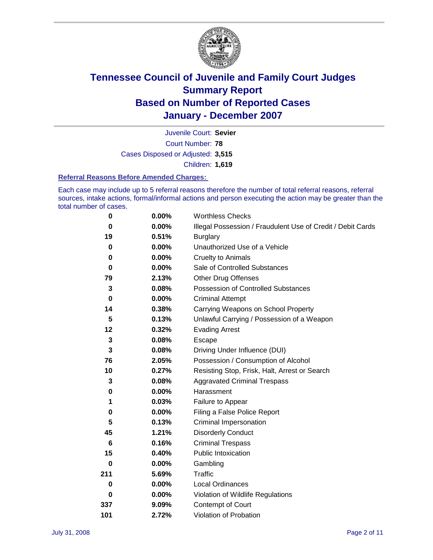

Court Number: **78** Juvenile Court: **Sevier** Cases Disposed or Adjusted: **3,515** Children: **1,619**

#### **Referral Reasons Before Amended Charges:**

Each case may include up to 5 referral reasons therefore the number of total referral reasons, referral sources, intake actions, formal/informal actions and person executing the action may be greater than the total number of cases.

| 0        | 0.00%    | <b>Worthless Checks</b>                                     |
|----------|----------|-------------------------------------------------------------|
| $\bf{0}$ | $0.00\%$ | Illegal Possession / Fraudulent Use of Credit / Debit Cards |
| 19       | 0.51%    | <b>Burglary</b>                                             |
| $\bf{0}$ | $0.00\%$ | Unauthorized Use of a Vehicle                               |
| 0        | 0.00%    | <b>Cruelty to Animals</b>                                   |
| $\bf{0}$ | $0.00\%$ | Sale of Controlled Substances                               |
| 79       | 2.13%    | <b>Other Drug Offenses</b>                                  |
| 3        | 0.08%    | <b>Possession of Controlled Substances</b>                  |
| $\bf{0}$ | 0.00%    | <b>Criminal Attempt</b>                                     |
| 14       | 0.38%    | Carrying Weapons on School Property                         |
| 5        | 0.13%    | Unlawful Carrying / Possession of a Weapon                  |
| 12       | 0.32%    | <b>Evading Arrest</b>                                       |
| 3        | 0.08%    | Escape                                                      |
| 3        | 0.08%    | Driving Under Influence (DUI)                               |
| 76       | 2.05%    | Possession / Consumption of Alcohol                         |
| 10       | 0.27%    | Resisting Stop, Frisk, Halt, Arrest or Search               |
| 3        | 0.08%    | <b>Aggravated Criminal Trespass</b>                         |
| 0        | $0.00\%$ | Harassment                                                  |
| 1        | 0.03%    | Failure to Appear                                           |
| 0        | 0.00%    | Filing a False Police Report                                |
| 5        | 0.13%    | Criminal Impersonation                                      |
| 45       | 1.21%    | <b>Disorderly Conduct</b>                                   |
| 6        | 0.16%    | <b>Criminal Trespass</b>                                    |
| 15       | 0.40%    | <b>Public Intoxication</b>                                  |
| 0        | $0.00\%$ | Gambling                                                    |
| 211      | 5.69%    | Traffic                                                     |
| 0        | 0.00%    | Local Ordinances                                            |
| 0        | 0.00%    | Violation of Wildlife Regulations                           |
| 337      | 9.09%    | Contempt of Court                                           |
| 101      | 2.72%    | Violation of Probation                                      |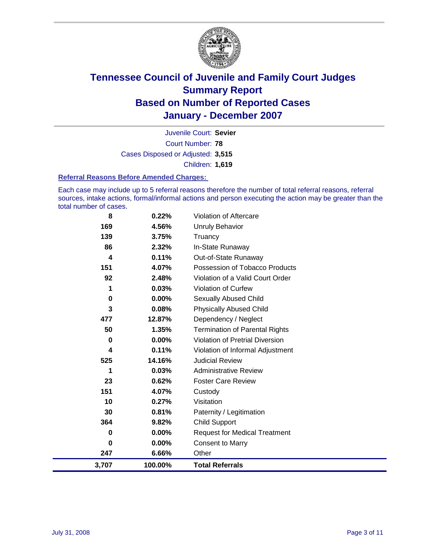

Court Number: **78** Juvenile Court: **Sevier** Cases Disposed or Adjusted: **3,515** Children: **1,619**

#### **Referral Reasons Before Amended Charges:**

Each case may include up to 5 referral reasons therefore the number of total referral reasons, referral sources, intake actions, formal/informal actions and person executing the action may be greater than the total number of cases.

| 3,707 | 100.00%  | <b>Total Referrals</b>                 |
|-------|----------|----------------------------------------|
| 247   | 6.66%    | Other                                  |
| 0     | 0.00%    | <b>Consent to Marry</b>                |
| 0     | $0.00\%$ | <b>Request for Medical Treatment</b>   |
| 364   | 9.82%    | <b>Child Support</b>                   |
| 30    | 0.81%    | Paternity / Legitimation               |
| 10    | 0.27%    | Visitation                             |
| 151   | 4.07%    | Custody                                |
| 23    | 0.62%    | <b>Foster Care Review</b>              |
| 1     | 0.03%    | <b>Administrative Review</b>           |
| 525   | 14.16%   | <b>Judicial Review</b>                 |
| 4     | 0.11%    | Violation of Informal Adjustment       |
| 0     | $0.00\%$ | <b>Violation of Pretrial Diversion</b> |
| 50    | 1.35%    | <b>Termination of Parental Rights</b>  |
| 477   | 12.87%   | Dependency / Neglect                   |
| 3     | 0.08%    | <b>Physically Abused Child</b>         |
| 0     | $0.00\%$ | <b>Sexually Abused Child</b>           |
| 1     | 0.03%    | <b>Violation of Curfew</b>             |
| 92    | 2.48%    | Violation of a Valid Court Order       |
| 151   | 4.07%    | Possession of Tobacco Products         |
| 4     | 0.11%    | Out-of-State Runaway                   |
| 86    | 2.32%    | In-State Runaway                       |
| 139   | 3.75%    | Truancy                                |
| 169   | 4.56%    | <b>Unruly Behavior</b>                 |
| 8     | 0.22%    | Violation of Aftercare                 |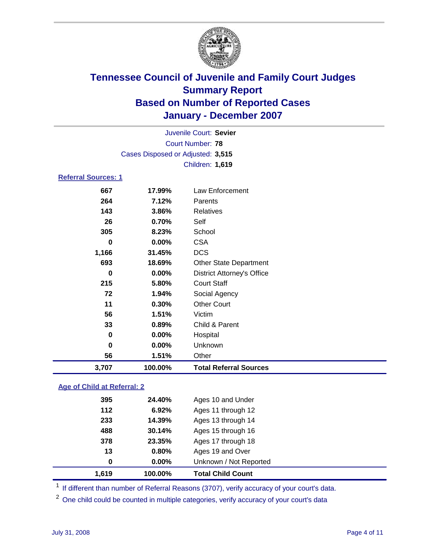

|                            |                                   | Juvenile Court: Sevier |
|----------------------------|-----------------------------------|------------------------|
|                            |                                   | Court Number: 78       |
|                            | Cases Disposed or Adjusted: 3,515 |                        |
|                            |                                   | Children: 1,619        |
| <b>Referral Sources: 1</b> |                                   |                        |
| 667                        | 17.99%                            | Law Enforcement        |
| 264                        | 7.12%                             | Parents                |
| 143                        | 3.86%                             | Relatives              |
| 26                         | 0.70%                             | Self                   |

| 3,707 | 100.00% | <b>Total Referral Sources</b>     |
|-------|---------|-----------------------------------|
| 56    | 1.51%   | Other                             |
| 0     | 0.00%   | Unknown                           |
| 0     | 0.00%   | Hospital                          |
| 33    | 0.89%   | Child & Parent                    |
| 56    | 1.51%   | Victim                            |
| 11    | 0.30%   | <b>Other Court</b>                |
| 72    | 1.94%   | Social Agency                     |
| 215   | 5.80%   | <b>Court Staff</b>                |
| 0     | 0.00%   | <b>District Attorney's Office</b> |
| 693   | 18.69%  | <b>Other State Department</b>     |
| 1,166 | 31.45%  | <b>DCS</b>                        |
| 0     | 0.00%   | <b>CSA</b>                        |
| 305   | 8.23%   | School                            |
|       |         |                                   |

### **Age of Child at Referral: 2**

| 1.619 | 100.00%  | <b>Total Child Count</b> |
|-------|----------|--------------------------|
| 0     | $0.00\%$ | Unknown / Not Reported   |
| 13    | 0.80%    | Ages 19 and Over         |
| 378   | 23.35%   | Ages 17 through 18       |
| 488   | 30.14%   | Ages 15 through 16       |
| 233   | 14.39%   | Ages 13 through 14       |
| 112   | 6.92%    | Ages 11 through 12       |
| 395   | 24.40%   | Ages 10 and Under        |
|       |          |                          |

<sup>1</sup> If different than number of Referral Reasons (3707), verify accuracy of your court's data.

One child could be counted in multiple categories, verify accuracy of your court's data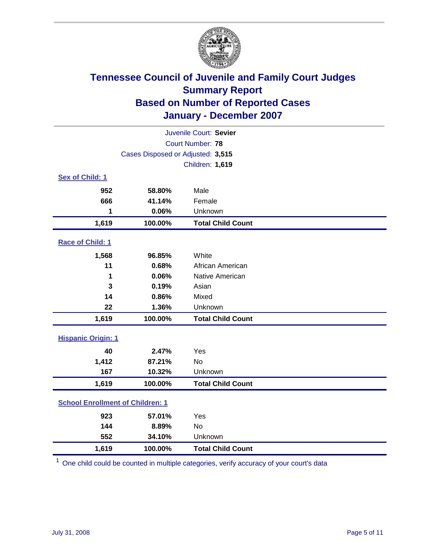

|                                         |                                   | Juvenile Court: Sevier   |
|-----------------------------------------|-----------------------------------|--------------------------|
|                                         |                                   | Court Number: 78         |
|                                         | Cases Disposed or Adjusted: 3,515 |                          |
|                                         |                                   | Children: 1,619          |
| Sex of Child: 1                         |                                   |                          |
| 952                                     | 58.80%                            | Male                     |
| 666                                     | 41.14%                            | Female                   |
| 1                                       | 0.06%                             | Unknown                  |
| 1,619                                   | 100.00%                           | <b>Total Child Count</b> |
| Race of Child: 1                        |                                   |                          |
| 1,568                                   | 96.85%                            | White                    |
| 11                                      | 0.68%                             | African American         |
| 1                                       | 0.06%                             | Native American          |
| 3                                       | 0.19%                             | Asian                    |
| 14                                      | 0.86%                             | Mixed                    |
| 22                                      | 1.36%                             | Unknown                  |
| 1,619                                   | 100.00%                           | <b>Total Child Count</b> |
| <b>Hispanic Origin: 1</b>               |                                   |                          |
| 40                                      | 2.47%                             | Yes                      |
| 1,412                                   | 87.21%                            | <b>No</b>                |
| 167                                     | 10.32%                            | Unknown                  |
| 1,619                                   | 100.00%                           | <b>Total Child Count</b> |
| <b>School Enrollment of Children: 1</b> |                                   |                          |
| 923                                     | 57.01%                            | Yes                      |
| 144                                     | 8.89%                             | No                       |
| 552                                     | 34.10%                            | Unknown                  |
| 1,619                                   | 100.00%                           | <b>Total Child Count</b> |

<sup>1</sup> One child could be counted in multiple categories, verify accuracy of your court's data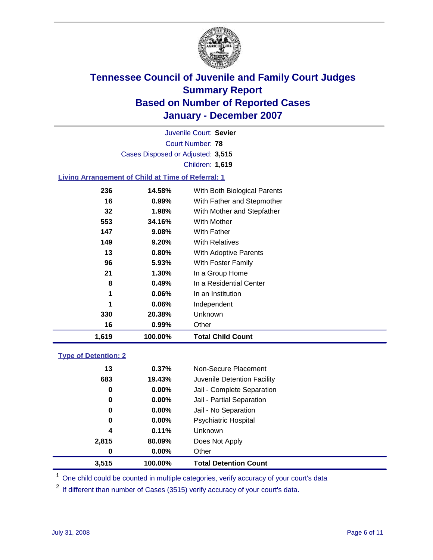

Court Number: **78** Juvenile Court: **Sevier** Cases Disposed or Adjusted: **3,515** Children: **1,619**

### **Living Arrangement of Child at Time of Referral: 1**

| 1,619 | 100.00%  | <b>Total Child Count</b>     |
|-------|----------|------------------------------|
| 16    | 0.99%    | Other                        |
| 330   | 20.38%   | Unknown                      |
| 1     | $0.06\%$ | Independent                  |
| 1     | $0.06\%$ | In an Institution            |
| 8     | 0.49%    | In a Residential Center      |
| 21    | 1.30%    | In a Group Home              |
| 96    | 5.93%    | With Foster Family           |
| 13    | 0.80%    | With Adoptive Parents        |
| 149   | 9.20%    | <b>With Relatives</b>        |
| 147   | 9.08%    | With Father                  |
| 553   | 34.16%   | With Mother                  |
| 32    | 1.98%    | With Mother and Stepfather   |
| 16    | 0.99%    | With Father and Stepmother   |
| 236   | 14.58%   | With Both Biological Parents |

#### **Type of Detention: 2**

| 3.515 | 100.00% | <b>Total Detention Count</b> |  |
|-------|---------|------------------------------|--|
| 0     | 0.00%   | Other                        |  |
| 2,815 | 80.09%  | Does Not Apply               |  |
| 4     | 0.11%   | <b>Unknown</b>               |  |
| 0     | 0.00%   | <b>Psychiatric Hospital</b>  |  |
| 0     | 0.00%   | Jail - No Separation         |  |
| 0     | 0.00%   | Jail - Partial Separation    |  |
| 0     | 0.00%   | Jail - Complete Separation   |  |
| 683   | 19.43%  | Juvenile Detention Facility  |  |
| 13    | 0.37%   | Non-Secure Placement         |  |
|       |         |                              |  |

<sup>1</sup> One child could be counted in multiple categories, verify accuracy of your court's data

<sup>2</sup> If different than number of Cases (3515) verify accuracy of your court's data.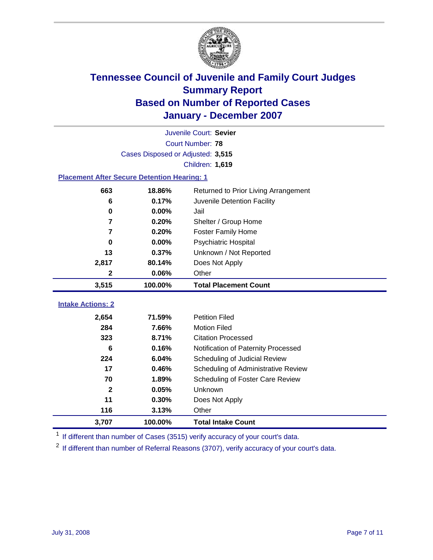

| Juvenile Court: Sevier<br>Court Number: 78         |                                   |                                      |  |  |
|----------------------------------------------------|-----------------------------------|--------------------------------------|--|--|
|                                                    |                                   |                                      |  |  |
|                                                    | Cases Disposed or Adjusted: 3,515 |                                      |  |  |
|                                                    |                                   | Children: 1,619                      |  |  |
| <b>Placement After Secure Detention Hearing: 1</b> |                                   |                                      |  |  |
| 663                                                | 18.86%                            | Returned to Prior Living Arrangement |  |  |
| 6                                                  | 0.17%                             | Juvenile Detention Facility          |  |  |
| $\bf{0}$                                           | 0.00%                             | Jail                                 |  |  |
| 7                                                  | 0.20%                             | Shelter / Group Home                 |  |  |
| 7                                                  | 0.20%                             | <b>Foster Family Home</b>            |  |  |
| $\bf{0}$                                           | 0.00%                             | Psychiatric Hospital                 |  |  |
| 13                                                 | 0.37%                             | Unknown / Not Reported               |  |  |
| 2,817                                              | 80.14%                            | Does Not Apply                       |  |  |
| $\mathbf 2$                                        | 0.06%                             | Other                                |  |  |
| 3,515                                              | 100.00%                           | <b>Total Placement Count</b>         |  |  |
|                                                    |                                   |                                      |  |  |
| <b>Intake Actions: 2</b>                           |                                   |                                      |  |  |
| 2,654                                              | 71.59%                            | <b>Petition Filed</b>                |  |  |
| 284                                                | 7.66%                             | <b>Motion Filed</b>                  |  |  |
| 323                                                | 8.71%                             | <b>Citation Processed</b>            |  |  |
| 6                                                  | 0.16%                             | Notification of Paternity Processed  |  |  |
| 224                                                | 6.04%                             | Scheduling of Judicial Review        |  |  |
| 17                                                 | 0.46%                             | Scheduling of Administrative Review  |  |  |
| 70                                                 | 1.89%                             | Scheduling of Foster Care Review     |  |  |
| $\mathbf{2}$                                       | 0.05%                             | Unknown                              |  |  |
| 11                                                 | 0.30%                             | Does Not Apply                       |  |  |
| 116                                                | 3.13%                             | Other                                |  |  |
| 3,707                                              | 100.00%                           | <b>Total Intake Count</b>            |  |  |

<sup>1</sup> If different than number of Cases (3515) verify accuracy of your court's data.

<sup>2</sup> If different than number of Referral Reasons (3707), verify accuracy of your court's data.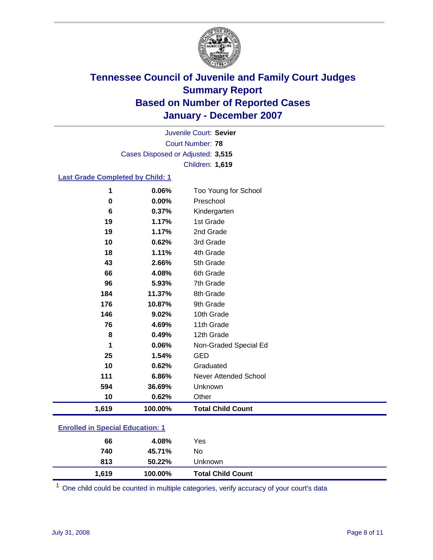

Court Number: **78** Juvenile Court: **Sevier** Cases Disposed or Adjusted: **3,515** Children: **1,619**

### **Last Grade Completed by Child: 1**

| 1     | 0.06%   | Too Young for School     |
|-------|---------|--------------------------|
| 0     | 0.00%   | Preschool                |
| 6     | 0.37%   | Kindergarten             |
| 19    | 1.17%   | 1st Grade                |
| 19    | 1.17%   | 2nd Grade                |
| 10    | 0.62%   | 3rd Grade                |
| 18    | 1.11%   | 4th Grade                |
| 43    | 2.66%   | 5th Grade                |
| 66    | 4.08%   | 6th Grade                |
| 96    | 5.93%   | 7th Grade                |
| 184   | 11.37%  | 8th Grade                |
| 176   | 10.87%  | 9th Grade                |
| 146   | 9.02%   | 10th Grade               |
| 76    | 4.69%   | 11th Grade               |
| 8     | 0.49%   | 12th Grade               |
| 1     | 0.06%   | Non-Graded Special Ed    |
| 25    | 1.54%   | <b>GED</b>               |
| 10    | 0.62%   | Graduated                |
| 111   | 6.86%   | Never Attended School    |
| 594   | 36.69%  | Unknown                  |
| 10    | 0.62%   | Other                    |
| 1,619 | 100.00% | <b>Total Child Count</b> |

### **Enrolled in Special Education: 1**

<sup>1</sup> One child could be counted in multiple categories, verify accuracy of your court's data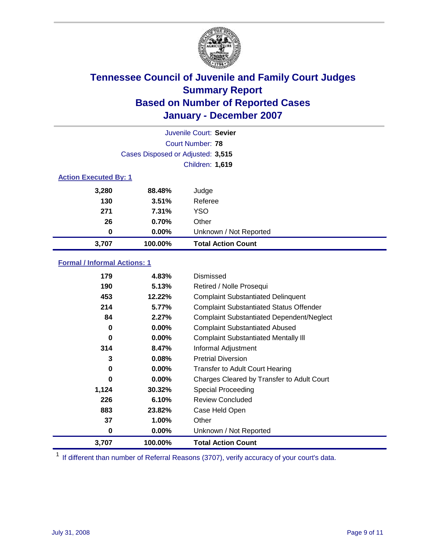

| Juvenile Court: Sevier       |                                   |                           |  |  |  |
|------------------------------|-----------------------------------|---------------------------|--|--|--|
|                              | Court Number: 78                  |                           |  |  |  |
|                              | Cases Disposed or Adjusted: 3,515 |                           |  |  |  |
|                              |                                   | <b>Children: 1,619</b>    |  |  |  |
| <b>Action Executed By: 1</b> |                                   |                           |  |  |  |
| 3,280                        | 88.48%                            | Judge                     |  |  |  |
| 130                          | 3.51%                             | Referee                   |  |  |  |
| 271                          | 7.31%                             | <b>YSO</b>                |  |  |  |
| 26                           | 0.70%                             | Other                     |  |  |  |
| 0                            | $0.00\%$                          | Unknown / Not Reported    |  |  |  |
| 3.707                        | 100.00%                           | <b>Total Action Count</b> |  |  |  |

### **Formal / Informal Actions: 1**

| 179   | 4.83%    | Dismissed                                        |
|-------|----------|--------------------------------------------------|
| 190   | 5.13%    | Retired / Nolle Prosequi                         |
| 453   | 12.22%   | <b>Complaint Substantiated Delinquent</b>        |
| 214   | 5.77%    | <b>Complaint Substantiated Status Offender</b>   |
| 84    | 2.27%    | <b>Complaint Substantiated Dependent/Neglect</b> |
| 0     | $0.00\%$ | <b>Complaint Substantiated Abused</b>            |
| 0     | $0.00\%$ | <b>Complaint Substantiated Mentally III</b>      |
| 314   | 8.47%    | Informal Adjustment                              |
| 3     | 0.08%    | <b>Pretrial Diversion</b>                        |
| 0     | $0.00\%$ | <b>Transfer to Adult Court Hearing</b>           |
| 0     | 0.00%    | Charges Cleared by Transfer to Adult Court       |
| 1,124 | 30.32%   | Special Proceeding                               |
| 226   | 6.10%    | <b>Review Concluded</b>                          |
| 883   | 23.82%   | Case Held Open                                   |
| 37    | $1.00\%$ | Other                                            |
| 0     | 0.00%    | Unknown / Not Reported                           |
| 3,707 | 100.00%  | <b>Total Action Count</b>                        |

<sup>1</sup> If different than number of Referral Reasons (3707), verify accuracy of your court's data.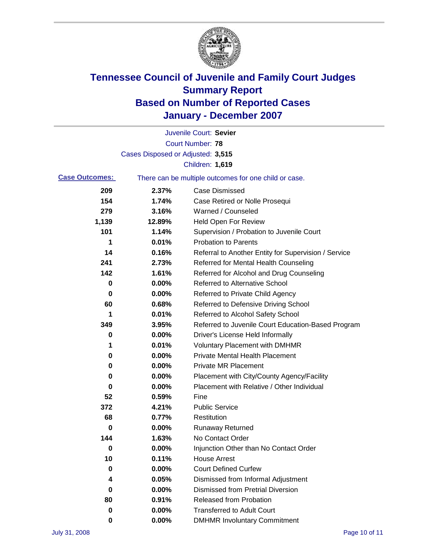

|                       |                                   | Juvenile Court: Sevier                                |
|-----------------------|-----------------------------------|-------------------------------------------------------|
|                       |                                   | <b>Court Number: 78</b>                               |
|                       | Cases Disposed or Adjusted: 3,515 |                                                       |
|                       |                                   | Children: 1,619                                       |
| <b>Case Outcomes:</b> |                                   | There can be multiple outcomes for one child or case. |
| 209                   | 2.37%                             | <b>Case Dismissed</b>                                 |
| 154                   | 1.74%                             | Case Retired or Nolle Prosequi                        |
| 279                   | 3.16%                             | Warned / Counseled                                    |
| 1,139                 | 12.89%                            | <b>Held Open For Review</b>                           |
| 101                   | 1.14%                             | Supervision / Probation to Juvenile Court             |
| 1                     | 0.01%                             | <b>Probation to Parents</b>                           |
| 14                    | 0.16%                             | Referral to Another Entity for Supervision / Service  |
| 241                   | 2.73%                             | Referred for Mental Health Counseling                 |
| 142                   | 1.61%                             | Referred for Alcohol and Drug Counseling              |
| 0                     | 0.00%                             | <b>Referred to Alternative School</b>                 |
| 0                     | 0.00%                             | Referred to Private Child Agency                      |
| 60                    | 0.68%                             | Referred to Defensive Driving School                  |
| 1                     | 0.01%                             | Referred to Alcohol Safety School                     |
| 349                   | 3.95%                             | Referred to Juvenile Court Education-Based Program    |
| 0                     | 0.00%                             | Driver's License Held Informally                      |
| 1                     | 0.01%                             | <b>Voluntary Placement with DMHMR</b>                 |
| 0                     | 0.00%                             | <b>Private Mental Health Placement</b>                |
| 0                     | 0.00%                             | <b>Private MR Placement</b>                           |
| 0                     | 0.00%                             | Placement with City/County Agency/Facility            |
| 0                     | 0.00%                             | Placement with Relative / Other Individual            |
| 52                    | 0.59%                             | Fine                                                  |
| 372                   | 4.21%                             | <b>Public Service</b>                                 |
| 68                    | 0.77%                             | Restitution                                           |
| 0                     | 0.00%                             | <b>Runaway Returned</b>                               |
| 144                   | 1.63%                             | No Contact Order                                      |
| 0                     | $0.00\%$                          | Injunction Other than No Contact Order                |
| 10                    | 0.11%                             | <b>House Arrest</b>                                   |
| 0                     | 0.00%                             | <b>Court Defined Curfew</b>                           |
| 4                     | 0.05%                             | Dismissed from Informal Adjustment                    |
| 0                     | 0.00%                             | <b>Dismissed from Pretrial Diversion</b>              |
| 80                    | 0.91%                             | <b>Released from Probation</b>                        |
| 0                     | 0.00%                             | <b>Transferred to Adult Court</b>                     |
| 0                     | $0.00\%$                          | <b>DMHMR Involuntary Commitment</b>                   |